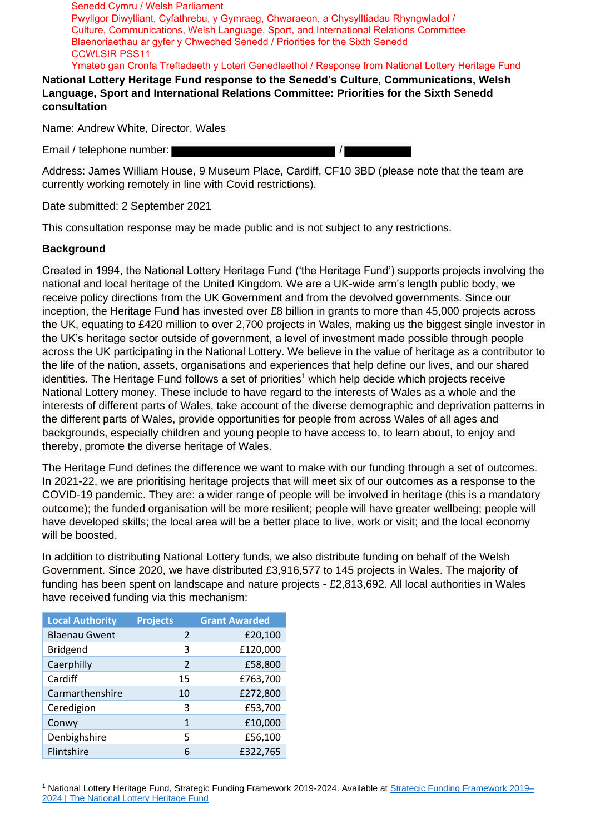Senedd Cymru / Welsh Parliament Pwyllgor Diwylliant, Cyfathrebu, y Gymraeg, Chwaraeon, a Chysylltiadau Rhyngwladol / Culture, Communications, Welsh Language, Sport, and International Relations Committee Blaenoriaethau ar gyfer y Chweched Senedd / Priorities for the Sixth Senedd CCWLSIR PSS11 Ymateb gan Cronfa Treftadaeth y Loteri Genedlaethol / Response from National Lottery Heritage Fund

**National Lottery Heritage Fund response to the Senedd's Culture, Communications, Welsh Language, Sport and International Relations Committee: Priorities for the Sixth Senedd consultation** 

Name: Andrew White, Dir[ector, Wales](mailto:rachel.cable@heritagefund.org.uk) 

Email / telephone number: //

Address: James William House, 9 Museum Place, Cardiff, CF10 3BD (please note that the team are currently working remotely in line with Covid restrictions).

Date submitted: 2 September 2021

This consultation response may be made public and is not subject to any restrictions.

## **Background**

Created in 1994, the National Lottery Heritage Fund ('the Heritage Fund') supports projects involving the national and local heritage of the United Kingdom. We are a UK-wide arm's length public body, we receive policy directions from the UK Government and from the devolved governments. Since our inception, the Heritage Fund has invested over £8 billion in grants to more than 45,000 projects across the UK, equating to £420 million to over 2,700 projects in Wales, making us the biggest single investor in the UK's heritage sector outside of government, a level of investment made possible through people across the UK participating in the National Lottery. We believe in the value of heritage as a contributor to the life of the nation, assets, organisations and experiences that help define our lives, and our shared identities. The Heritage Fund follows a set of priorities<sup>1</sup> which help decide which projects receive National Lottery money. These include to have regard to the interests of Wales as a whole and the interests of different parts of Wales, take account of the diverse demographic and deprivation patterns in the different parts of Wales, provide opportunities for people from across Wales of all ages and backgrounds, especially children and young people to have access to, to learn about, to enjoy and thereby, promote the diverse heritage of Wales.

The Heritage Fund defines the difference we want to make with our funding through a set of outcomes. In 2021-22, we are prioritising heritage projects that will meet six of our outcomes as a response to the COVID-19 pandemic. They are: a wider range of people will be involved in heritage (this is a mandatory outcome); the funded organisation will be more resilient; people will have greater wellbeing; people will have developed skills; the local area will be a better place to live, work or visit; and the local economy will be boosted.

In addition to distributing National Lottery funds, we also distribute funding on behalf of the Welsh Government. Since 2020, we have distributed £3,916,577 to 145 projects in Wales. The majority of funding has been spent on landscape and nature projects - £2,813,692. All local authorities in Wales have received funding via this mechanism:

| <b>Local Authority</b> | <b>Projects</b> | <b>Grant Awarded</b> |
|------------------------|-----------------|----------------------|
| <b>Blaenau Gwent</b>   | 2               | £20,100              |
| <b>Bridgend</b>        | 3               | £120,000             |
| Caerphilly             | 2               | £58,800              |
| Cardiff                | 15              | £763,700             |
| Carmarthenshire        | 10              | £272,800             |
| Ceredigion             | 3               | £53,700              |
| Conwy                  | 1               | £10,000              |
| Denbighshire           | 5               | £56,100              |
| Flintshire             | 6               | £322,765             |

<sup>1</sup> National Lottery Heritage Fund, Strategic Funding Framework 2019-2024. Available at Strategic Funding Framework 2019– 2024 | The National Lottery Heritage Fund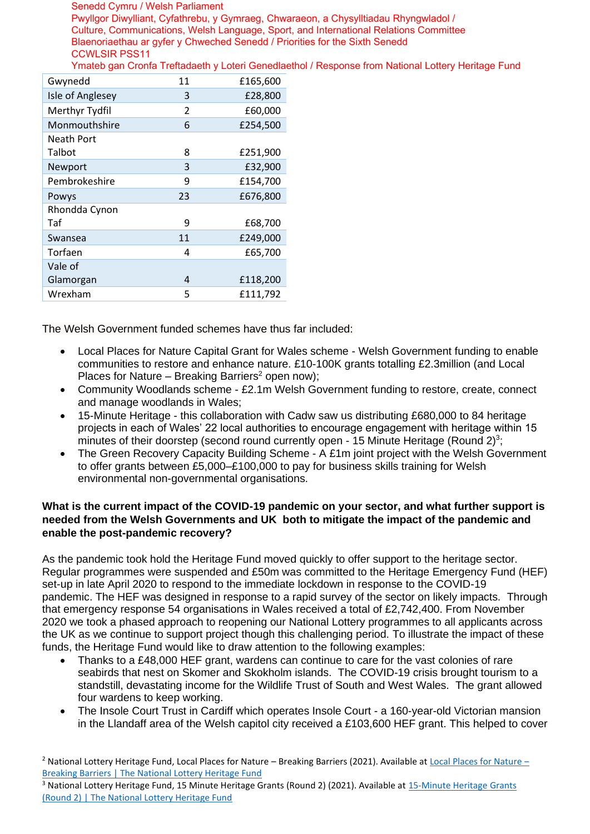Senedd Cymru / Welsh Parliament Pwyllgor Diwylliant, Cyfathrebu, y Gymraeg, Chwaraeon, a Chysylltiadau Rhyngwladol / Culture, Communications, Welsh Language, Sport, and International Relations Committee Blaenoriaethau ar gyfer y Chweched Senedd / Priorities for the Sixth Senedd CCWLSIR PSS11 Ymateb gan Cronfa Treftadaeth y Loteri Genedlaethol / Response from National Lottery Heritage Fund

| Gwynedd          | 11                       | £165,600 |
|------------------|--------------------------|----------|
| Isle of Anglesey | 3                        | £28,800  |
| Merthyr Tydfil   | $\overline{\mathcal{L}}$ | £60,000  |
| Monmouthshire    | 6                        | £254,500 |
| Neath Port       |                          |          |
| Talbot           | 8                        | £251,900 |
| Newport          | 3                        | £32,900  |
| Pembrokeshire    | 9                        | £154,700 |
| Powys            | 23                       | £676,800 |
| Rhondda Cynon    |                          |          |
| Taf              | 9                        | £68,700  |
| Swansea          | 11                       | £249,000 |
| Torfaen          | 4                        | £65,700  |
| Vale of          |                          |          |
| Glamorgan        | 4                        | £118,200 |
| Wrexham          | 5                        | £111,792 |

The Welsh Government funded schemes have thus far included:

- Local Places for Nature Capital Grant for Wales scheme Welsh Government funding to enable communities to restore and enhance nature. £10-100K grants totalling £2.3million (and Local Places for Nature – Breaking Barriers<sup>2</sup> open now);
- Community Woodlands scheme £2.1m Welsh Government funding to restore, create, connect and manage woodlands in Wales;
- 15-Minute Heritage this collaboration with Cadw saw us distributing £680,000 to 84 heritage projects in each of Wales' 22 local authorities to encourage engagement with heritage within 15 minutes of their doorstep (second round currently open - 15 Minute Heritage (Round 2)<sup>3</sup>;
- The Green Recovery Capacity Building Scheme A £1m joint project with the Welsh Government to offer grants between £5,000–£100,000 to pay for business skills training for Welsh environmental non-governmental organisations.

## **What is the current impact of the COVID-19 pandemic on your sector, and what further support is needed from the Welsh Governments and UK both to mitigate the impact of the pandemic and enable the post-pandemic recovery?**

As the pandemic took hold the Heritage Fund moved quickly to offer support to the heritage sector. Regular programmes were suspended and £50m was committed to the Heritage Emergency Fund (HEF) set-up in late April 2020 to respond to the immediate lockdown in response to the COVID-19 pandemic. The HEF was designed in response to a rapid survey of the sector on likely impacts. Through that emergency response 54 organisations in Wales received a total of £2,742,400. From November 2020 we took a phased approach to reopening our National Lottery programmes to all applicants across the UK as we continue to support project though this challenging period. To illustrate the impact of these funds, the Heritage Fund would like to draw attention to the following examples:

- Thanks to a £48,000 HEF grant, wardens can continue to care for the vast colonies of rare seabirds that nest on Skomer and Skokholm islands. The COVID-19 crisis brought tourism to a standstill, devastating income for the Wildlife Trust of South and West Wales. The grant allowed four wardens to keep working.
- The Insole Court Trust in Cardiff which operates Insole Court a 160-year-old Victorian mansion in the Llandaff area of the Welsh capitol city received a £103,600 HEF g[rant. This helped to cover](https://www.heritagefund.org.uk/funding/local-places-for-nature-breaking-barriers)

<sup>2</sup> [National Lottery Heritage Fund, Local Places fo](https://www.heritagefund.org.uk/funding/15-minute-heritage-grants-round-2)r Nature – Breaking Barriers (2021). Availa[ble at Local Places for Nature](https://www.heritagefund.org.uk/funding/15-minute-heritage-grants-round-2) – Breaking Barriers | The National Lottery Heritage Fund

<sup>3</sup> National Lottery Heritage Fund, 15 Minute Heritage Grants (Round 2) (2021). Available at 15-Minute Heritage Grants (Round 2) | The National Lottery Heritage Fund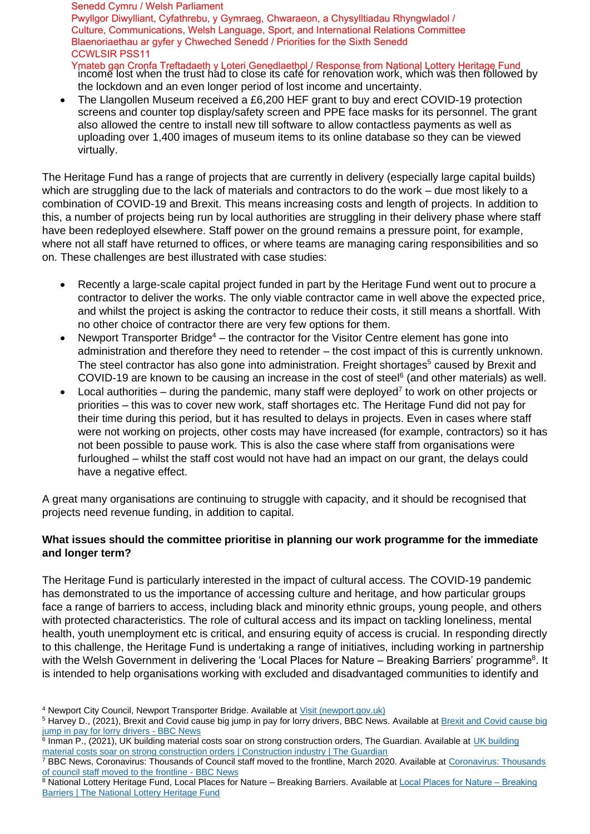Senedd Cymru / Welsh Parliament Pwyllgor Diwylliant, Cyfathrebu, y Gymraeg, Chwaraeon, a Chysylltiadau Rhyngwladol / Culture, Communications, Welsh Language, Sport, and International Relations Committee Blaenoriaethau ar gyfer y Chweched Senedd / Priorities for the Sixth Senedd CCWLSIR PSS11

Ymateb gan Cronfa Treftadaeth y Loteri Genedlaethol / Response from National Lottery Heritage Fund<br>income lost when the trust had to close its café for renovation work, which was then followed by the lockdown and an even longer period of lost income and uncertainty.

• The Llangollen Museum received a £6,200 HEF grant to buy and erect COVID-19 protection screens and counter top display/safety screen and PPE face masks for its personnel. The grant also allowed the centre to install new till software to allow contactless payments as well as uploading over 1,400 images of museum items to its online database so they can be viewed virtually.

The Heritage Fund has a range of projects that are currently in delivery (especially large capital builds) which are struggling due to the lack of materials and contractors to do the work – due most likely to a combination of COVID-19 and Brexit. This means increasing costs and length of projects. In addition to this, a number of projects being run by local authorities are struggling in their delivery phase where staff have been redeployed elsewhere. Staff power on the ground remains a pressure point, for example, where not all staff have returned to offices, or where teams are managing caring responsibilities and so on. These challenges are best illustrated with case studies:

- Recently a large-scale capital project funded in part by the Heritage Fund went out to procure a contractor to deliver the works. The only viable contractor came in well above the expected price, and whilst the project is asking the contractor to reduce their costs, it still means a shortfall. With no other choice of contractor there are very few options for them.
- Newport Transporter Bridge<sup>4</sup> the contractor for the Visitor Centre element has gone into administration and therefore they need to retender – the cost impact of this is currently unknown. The steel contractor has also gone into administration. Freight shortages<sup>5</sup> caused by Brexit and COVID-19 are known to be causing an increase in the cost of steel $6$  (and other materials) as well.
- Local authorities during the pandemic, many staff were deployed<sup>7</sup> to work on other projects or priorities – this was to cover new work, staff shortages etc. The Heritage Fund did not pay for their time during this period, but it has resulted to delays in projects. Even in cases where staff were not working on projects, other costs may have increased (for example, contractors) so it has not been possible to pause work. This is also the case where staff from organisations were furloughed – whilst the staff cost would not have had an impact on our grant, the delays could have a negative effect.

A great many organisations are continuing to struggle with capacity, and it should be recognised that projects need revenue funding, in addition to capital.

## **What issues should the committee prioritise in planning our work programme for the immediate and longer term?**

The Heritage Fund is particularly interested in the impact of cultural access. The COVID-19 pandemic has demonstrated to us the importance of accessing culture and heritage, and how particular groups face a range of barriers to access, including black and minority ethnic groups, young people, and others with protected characteristics. The role of cultural access and its impact on tackling loneliness, mental health, youth unemployment etc is critical, and ensuring equity of access is crucial. In responding directly to this challenge, the Heritage Fund is undertaking a range of initiatives, including working in partnership with the Welsh Government in delivering the 'Local Places for Nature – Breaking Barriers' programme<sup>8</sup>. It is intended to help organisations working with excluded and disadvantaged communities to identify and

<sup>&</sup>lt;sup>4</sup> [Newport City Council, Newport Transpo](https://www.bbc.co.uk/news/uk-england-somerset-57656327)rter Bridge. Available at *Visit (newport.gov.uk)* 

<sup>&</sup>lt;sup>5</sup> [Harvey D., \(2021\), Brexit and Covid cause big jump in pay for lorry drivers, BBC News.](https://www.theguardian.com/business/2021/jun/04/building-material-costs-soar-strong-construction-brexit-pandemic) Available at Brexit and Covid cause big jump in pay for lorry drivers - BBC News

<sup>&</sup>lt;sup>6</sup> Inman P., (2021), UK building material costs soar on strong construction orders, The Guardian. Available at UK building [material costs soar on strong construction orders |](https://www.bbc.co.uk/news/uk-england-52067981) Construction industry | The Guardian

<sup>&</sup>lt;sup>7</sup> [BBC News, Coronavirus: Thousands of Coun](https://www.heritagefund.org.uk/funding/local-places-for-nature-breaking-barriers)cil staff moved to the frontline, March 2020. Available at Coronavirus: Thousands of council staff moved to the frontline - BBC News

<sup>8</sup> National Lottery Heritage Fund, Local Places for Nature – Breaking Barriers. Available at Local Places for Nature – Breaking **Barriers | The National Lottery Heritage Fund**